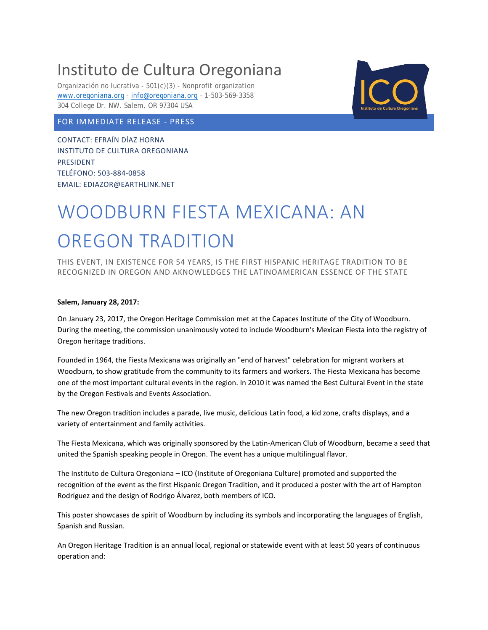## Instituto de Cultura Oregoniana

Organización no lucrativa - 501(c)(3) - Nonprofit organization [www.oregoniana.org](http://www.oregoniana.org/) - [info@oregoniana.org](mailto:info@oregoniana.org) – 1-503-569-3358 304 College Dr. NW. Salem, OR 97304 USA

## FOR IMMEDIATE RELEASE - PRESS

CONTACT: EFRAÍN DÍAZ HORNA INSTITUTO DE CULTURA OREGONIANA PRESIDENT TELÉFONO: 503-884-0858 EMAIL: EDIAZOR@EARTHLINK.NET

## WOODBURN FIESTA MEXICANA: AN OREGON TRADITION

THIS EVENT, IN EXISTENCE FOR 54 YEARS, IS THE FIRST HISPANIC HERITAGE TRADITION TO BE RECOGNIZED IN OREGON AND AKNOWLEDGES THE LATINOAMERICAN ESSENCE OF THE STATE

## **Salem, January 28, 2017:**

On January 23, 2017, the Oregon Heritage Commission met at the Capaces Institute of the City of Woodburn. During the meeting, the commission unanimously voted to include Woodburn's Mexican Fiesta into the registry of Oregon heritage traditions.

Founded in 1964, the Fiesta Mexicana was originally an "end of harvest" celebration for migrant workers at Woodburn, to show gratitude from the community to its farmers and workers. The Fiesta Mexicana has become one of the most important cultural events in the region. In 2010 it was named the Best Cultural Event in the state by the Oregon Festivals and Events Association.

The new Oregon tradition includes a parade, live music, delicious Latin food, a kid zone, crafts displays, and a variety of entertainment and family activities.

The Fiesta Mexicana, which was originally sponsored by the Latin-American Club of Woodburn, became a seed that united the Spanish speaking people in Oregon. The event has a unique multilingual flavor.

The Instituto de Cultura Oregoniana – ICO (Institute of Oregoniana Culture) promoted and supported the recognition of the event as the first Hispanic Oregon Tradition, and it produced a poster with the art of Hampton Rodríguez and the design of Rodrigo Álvarez, both members of ICO.

This poster showcases de spirit of Woodburn by including its symbols and incorporating the languages of English, Spanish and Russian.

An Oregon Heritage Tradition is an annual local, regional or statewide event with at least 50 years of continuous operation and: